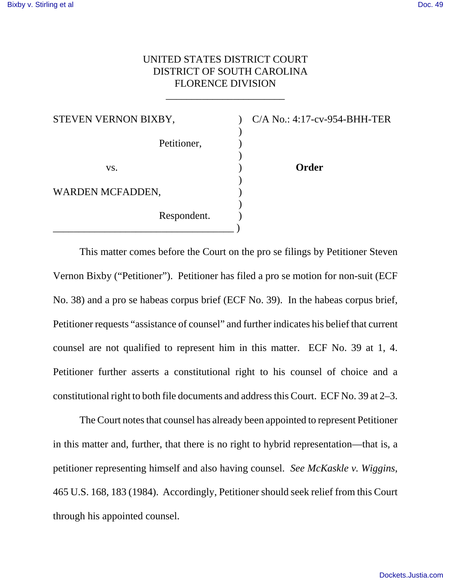## UNITED STATES DISTRICT COURT DISTRICT OF SOUTH CAROLINA FLORENCE DIVISION

\_\_\_\_\_\_\_\_\_\_\_\_\_\_\_\_\_\_\_\_\_\_\_

| STEVEN VERNON BIXBY, |             |
|----------------------|-------------|
|                      |             |
|                      | Petitioner, |
| VS.                  |             |
|                      |             |
| WARDEN MCFADDEN,     |             |
|                      |             |
|                      | Respondent. |
|                      |             |

C/A No.: 4:17-cv-954-BHH-TER

**Order** 

This matter comes before the Court on the pro se filings by Petitioner Steven Vernon Bixby ("Petitioner"). Petitioner has filed a pro se motion for non-suit (ECF No. 38) and a pro se habeas corpus brief (ECF No. 39). In the habeas corpus brief, Petitioner requests "assistance of counsel" and further indicates his belief that current counsel are not qualified to represent him in this matter. ECF No. 39 at 1, 4. Petitioner further asserts a constitutional right to his counsel of choice and a constitutional right to both file documents and address this Court. ECF No. 39 at 2–3.

The Court notes that counsel has already been appointed to represent Petitioner in this matter and, further, that there is no right to hybrid representation—that is, a petitioner representing himself and also having counsel. *See McKaskle v. Wiggins*, 465 U.S. 168, 183 (1984). Accordingly, Petitioner should seek relief from this Court through his appointed counsel.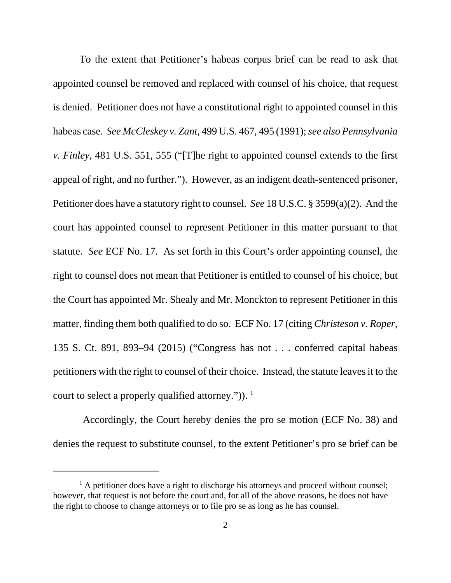To the extent that Petitioner's habeas corpus brief can be read to ask that appointed counsel be removed and replaced with counsel of his choice, that request is denied. Petitioner does not have a constitutional right to appointed counsel in this habeas case. *See McCleskey v. Zant*, 499 U.S. 467, 495 (1991); *see also Pennsylvania v. Finley*, 481 U.S. 551, 555 ("[T]he right to appointed counsel extends to the first appeal of right, and no further."). However, as an indigent death-sentenced prisoner, Petitioner does have a statutory right to counsel. *See* 18 U.S.C. § 3599(a)(2). And the court has appointed counsel to represent Petitioner in this matter pursuant to that statute. *See* ECF No. 17. As set forth in this Court's order appointing counsel, the right to counsel does not mean that Petitioner is entitled to counsel of his choice, but the Court has appointed Mr. Shealy and Mr. Monckton to represent Petitioner in this matter, finding them both qualified to do so. ECF No. 17 (citing *Christeson v. Roper*, 135 S. Ct. 891, 893–94 (2015) ("Congress has not . . . conferred capital habeas petitioners with the right to counsel of their choice. Instead, the statute leaves it to the court to select a properly qualified attorney.")).  $\frac{1}{1}$ 

 Accordingly, the Court hereby denies the pro se motion (ECF No. 38) and denies the request to substitute counsel, to the extent Petitioner's pro se brief can be

<sup>&</sup>lt;sup>1</sup> A petitioner does have a right to discharge his attorneys and proceed without counsel; however, that request is not before the court and, for all of the above reasons, he does not have the right to choose to change attorneys or to file pro se as long as he has counsel.